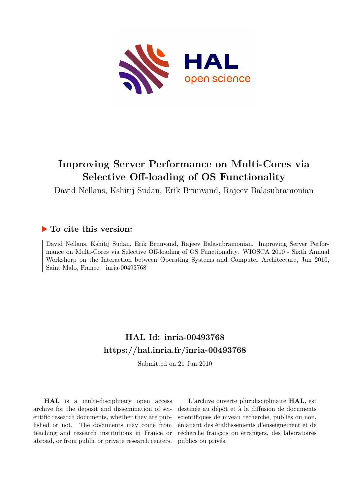

## **Improving Server Performance on Multi-Cores via Selective Off-loading of OS Functionality**

David Nellans, Kshitij Sudan, Erik Brunvand, Rajeev Balasubramonian

### **To cite this version:**

David Nellans, Kshitij Sudan, Erik Brunvand, Rajeev Balasubramonian. Improving Server Performance on Multi-Cores via Selective Off-loading of OS Functionality. WIOSCA 2010 - Sixth Annual Workshorp on the Interaction between Operating Systems and Computer Architecture, Jun 2010, Saint Malo, France. inria-00493768

## **HAL Id: inria-00493768 <https://hal.inria.fr/inria-00493768>**

Submitted on 21 Jun 2010

**HAL** is a multi-disciplinary open access archive for the deposit and dissemination of scientific research documents, whether they are published or not. The documents may come from teaching and research institutions in France or abroad, or from public or private research centers.

L'archive ouverte pluridisciplinaire **HAL**, est destinée au dépôt et à la diffusion de documents scientifiques de niveau recherche, publiés ou non, émanant des établissements d'enseignement et de recherche français ou étrangers, des laboratoires publics ou privés.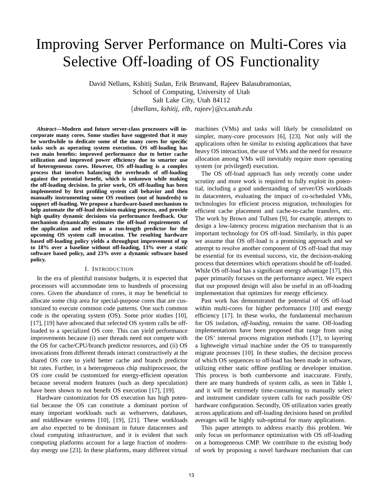# Improving Server Performance on Multi-Cores via Selective Off-loading of OS Functionality

David Nellans, Kshitij Sudan, Erik Brunvand, Rajeev Balasubramonian, School of Computing, University of Utah Salt Lake City, Utah 84112 {*dnellans, kshitij, elb, rajeev*}*@cs.utah.edu*

*Abstract***—Modern and future server-class processors will incorporate many cores. Some studies have suggested that it may be worthwhile to dedicate some of the many cores for specific tasks such as operating system execution. OS off-loading has two main benefits: improved performance due to better cache utilization and improved power efficiency due to smarter use of heterogeneous cores. However, OS off-loading is a complex process that involves balancing the overheads of off-loading against the potential benefit, which is unknown while making the off-loading decision. In prior work, OS off-loading has been implemented by first profiling system call behavior and then manually instrumenting some OS routines (out of hundreds) to support off-loading. We propose a hardware-based mechanism to help automate the off-load decision-making process, and provide high quality dynamic decisions via performance feedback. Our mechanism dynamically estimates the off-load requirements of the application and relies on a run-length predictor for the upcoming OS system call invocation. The resulting hardware based off-loading policy yields a throughput improvement of up to 18% over a baseline without off-loading, 13% over a static software based policy, and 23% over a dynamic software based policy.**

#### I. INTRODUCTION

In the era of plentiful transistor budgets, it is expected that processors will accommodate tens to hundreds of processing cores. Given the abundance of cores, it may be beneficial to allocate some chip area for special-purpose cores that are customized to execute common code patterns. One such common code is the operating system (OS). Some prior studies [10], [17], [19] have advocated that selected OS system calls be offloaded to a specialized OS core. This can yield performance improvements because (i) user threads need not compete with the OS for cache/CPU/branch predictor resources, and (ii) OS invocations from different threads interact constructively at the shared OS core to yield better cache and branch predictor hit rates. Further, in a heterogeneous chip multiprocessor, the OS core could be customized for energy-efficient operation because several modern features (such as deep speculation) have been shown to not benefit OS execution [17], [19].

Hardware customization for OS execution has high potential because the OS can constitute a dominant portion of many important workloads such as webservers, databases, and middleware systems [10], [19], [21]. These workloads are also expected to be dominant in future datacenters and cloud computing infrastructure, and it is evident that such computing platforms account for a large fraction of modernday energy use [23]. In these platforms, many different virtual machines (VMs) and tasks will likely be consolidated on simpler, many-core processors [6], [23]. Not only will the applications often be similar to existing applications that have heavy OS interaction, the use of VMs and the need for resource allocation among VMs will inevitably require more operating system (or privileged) execution.

The OS off-load approach has only recently come under scrutiny and more work is required to fully exploit its potential, including a good understanding of server/OS workloads in datacenters, evaluating the impact of co-scheduled VMs, technologies for efficient process migration, technologies for efficient cache placement and cache-to-cache transfers, etc. The work by Brown and Tullsen [9], for example, attempts to design a low-latency process migration mechanism that is an important technology for OS off-load. Similarly, in this paper we assume that OS off-load is a promising approach and we attempt to resolve another component of OS off-load that may be essential for its eventual success, viz, the decision-making process that determines which operations should be off-loaded. While OS off-load has a significant energy advantage [17], this paper primarily focuses on the performance aspect. We expect that our proposed design will also be useful in an off-loading implementation that optimizes for energy efficiency.

Past work has demonstrated the potential of OS off-load within multi-cores for higher performance [10] and energy efficiency [17]. In these works, the fundamental mechanism for OS isolation, *off-loading*, remains the same. Off-loading implementations have been proposed that range from using the OS' internal process migration methods [17], to layering a lightweight virtual machine under the OS to transparently migrate processes [10]. In these studies, the decision process of which OS sequences to off-load has been made in software, utilizing either static offline profiling or developer intuition. This process is both cumbersome and inaccurate. Firstly, there are many hundreds of system calls, as seen in Table I, and it will be extremely time-consuming to manually select and instrument candidate system calls for each possible OS/ hardware configuration. Secondly, OS utilization varies greatly across applications and off-loading decisions based on profiled averages will be highly sub-optimal for many applications.

This paper attempts to address exactly this problem. We only focus on performance optimization with OS off-loading on a homogeneous CMP. We contribute to the existing body of work by proposing a novel hardware mechanism that can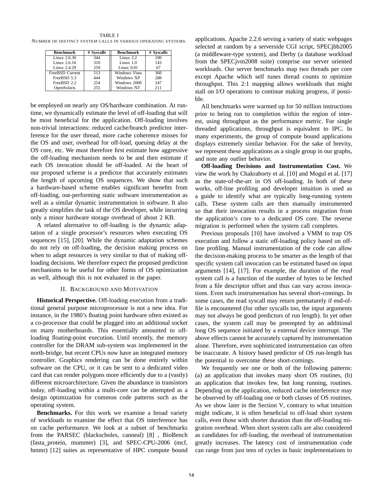TABLE I NUMBER OF DISTINCT SYSTEM CALLS IN VARIOUS OPERATING SYSTEMS.

| <b>Benchmark</b> | # Syscalls | <b>Benchmark</b> | # Syscalls |
|------------------|------------|------------------|------------|
| Linux 2.6.30     | 344        | Linux $2.2$      | 190        |
| Linux $2.6.16$   | 310        | Linux $1.0$      | 143        |
| Linux 2.4.29     | 259        | Linux $0.01$     | 67         |
| FreeBSD Current  | 513        | Windows Vista    | 360        |
| FreeBSD 5.3      | 444        | Windows XP       | 288        |
| FreeBSD 2.2      | 254        | Windows 2000     | 247        |
| OpenSolaris      | 255        | Windows NT       | 211        |

be employed on nearly any OS/hardware combination. At runtime, we dynamically estimate the level of off-loading that will be most beneficial for the application. Off-loading involves non-trivial interactions: reduced cache/branch predictor interference for the user thread, more cache coherence misses for the OS and user, overhead for off-load, queuing delay at the OS core, etc. We must therefore first estimate how aggressive the off-loading mechanism needs to be and then estimate if each OS invocation should be off-loaded. At the heart of our proposed scheme is a predictor that accurately estimates the length of upcoming OS sequences. We show that such a hardware-based scheme enables significant benefits from off-loading, out-performing static software instrumentation as well as a similar dynamic instrumentation in software. It also greatly simplifies the task of the OS developer, while incurring only a minor hardware storage overhead of about 2 KB.

A related alternative to off-loading is the dynamic adaptation of a single processor's resources when executing OS sequences [15], [20]. While the dynamic adaptation schemes do not rely on off-loading, the decision making process on when to adapt resources is very similar to that of making offloading decisions. We therefore expect the proposed prediction mechanisms to be useful for other forms of OS optimization as well, although this is not evaluated in the paper.

#### II. BACKGROUND AND MOTIVATION

**Historical Perspective.** Off-loading execution from a traditional general purpose microprocessor is not a new idea. For instance, in the 1980's floating point hardware often existed as a co-processor that could be plugged into an additional socket on many motherboards. This essentially amounted to offloading floating-point execution. Until recently, the memory controller for the DRAM sub-system was implemented in the north-bridge, but recent CPUs now have an integrated memory controller. Graphics rendering can be done entirely within software on the CPU, or it can be sent to a dedicated video card that can render polygons more efficiently due to a (vastly) different microarchitecture. Given the abundance in transistors today, off-loading within a multi-core can be attempted as a design optimization for common code patterns such as the operating system.

**Benchmarks.** For this work we examine a broad variety of workloads to examine the effect that OS interference has on cache performance. We look at a subset of benchmarks from the PARSEC (blackscholes, canneal) [8] , BioBench (fasta protein, mummer) [3], and SPEC-CPU-2006 (mcf, hmmr) [12] suites as representative of HPC compute bound applications. Apache 2.2.6 serving a variety of static webpages selected at random by a serverside CGI script, SPECjbb2005 (a middleware-type system), and Derby (a database workload from the SPECjvm2008 suite) comprise our server oriented workloads. Our server benchmarks map two threads per core except Apache which self tunes thread counts to optimize throughput. This 2:1 mapping allows workloads that might stall on I/O operations to continue making progress, if possible.

All benchmarks were warmed up for 50 million instructions prior to being run to completion within the region of interest, using throughput as the performance metric. For single threaded applications, throughput is equivalent to IPC. In many experiments, the group of compute bound applications displays extremely similar behavior. For the sake of brevity, we represent these applications as a single group in our graphs, and note any outlier behavior.

**Off-loading Decisions and Instrumentation Cost.** We view the work by Chakraborty et al. [10] and Mogul et al. [17] as the state-of-the-art in OS off-loading. In both of these works, off-line profiling and developer intuition is used as a guide to identify what are typically long-running system calls. These system calls are then manually instrumented so that their invocation results in a process migration from the application's core to a dedicated OS core. The reverse migration is performed when the system call completes.

Previous proposals [10] have involved a VMM to trap OS execution and follow a static off-loading policy based on offline profiling. Manual instrumentation of the code can allow the decision-making process to be smarter as the length of that specific system call invocation can be estimated based on input arguments [14], [17]. For example, the duration of the *read* system call is a function of the number of bytes to be fetched from a file descriptor offset and thus can vary across invocations. Even such instrumentation has several short-comings. In some cases, the read syscall may return prematurely if end-offile is encountered (for other syscalls too, the input arguments may not always be good predictors of run length). In yet other cases, the system call may be preempted by an additional long OS sequence initiated by a external device interrupt. The above effects cannot be accurately captured by instrumentation alone. Therefore, even sophisticated instrumentation can often be inaccurate. A history based predictor of OS run-length has the potential to overcome these short-comings.

We frequently see one or both of the following patterns: (a) an application that invokes many short OS routines, (b) an application that invokes few, but long running, routines. Depending on the application, reduced cache interference may be observed by off-loading one or both classes of OS routines. As we show later in the Section V, contrary to what intuition might indicate, it is often beneficial to off-load short system calls, even those with shorter duration than the off-loading migration overhead. When short system calls are also considered as candidates for off-loading, the overhead of instrumentation greatly increases. The latency cost of instrumentation code can range from just tens of cycles in basic implementations to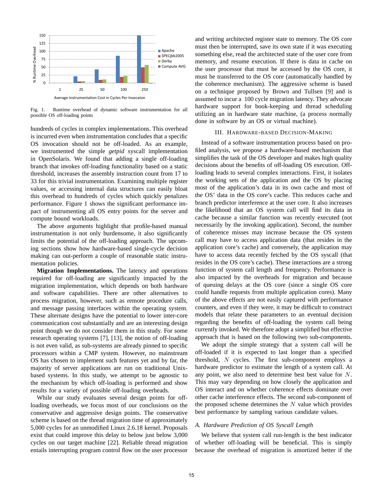

Fig. 1. Runtime overhead of dynamic software instrumentation for all possible OS off-loading points

hundreds of cycles in complex implementations. This overhead is incurred even when instrumentation concludes that a specific OS invocation should not be off-loaded. As an example, we instrumented the simple *getpid* syscall implementation in OpenSolaris. We found that adding a single off-loading branch that invokes off-loading functionality based on a static threshold, increases the assembly instruction count from 17 to 33 for this trivial instrumentation. Examining multiple register values, or accessing internal data structures can easily bloat this overhead to hundreds of cycles which quickly penalizes performance. Figure 1 shows the significant performance impact of instrumenting all OS entry points for the server and compute bound workloads.

The above arguments highlight that profile-based manual instrumentation is not only burdensome, it also significantly limits the potential of the off-loading approach. The upcoming sections show how hardware-based single-cycle decision making can out-perform a couple of reasonable static instrumentation policies.

**Migration Implementations.** The latency and operations required for off-loading are significantly impacted by the migration implementation, which depends on both hardware and software capabilities. There are other alternatives to process migration, however, such as remote procedure calls, and message passing interfaces within the operating system. These alternate designs have the potential to lower inter-core communication cost substantially and are an interesting design point though we do not consider them in this study. For some research operating systems [7], [13], the notion of off-loading is not even valid, as sub-systems are already pinned to specific processors within a CMP system. However, no mainstream OS has chosen to implement such features yet and by far, the majority of server applications are run on traditional Unixbased systems. In this study, we attempt to be agnostic to the mechanism by which off-loading is performed and show results for a variety of possible off-loading overheads.

While our study evaluates several design points for offloading overheads, we focus most of our conclusions on the conservative and aggressive design points. The conservative scheme is based on the thread migration time of approximately 5,000 cycles for an unmodified Linux 2.6.18 kernel. Proposals exist that could improve this delay to below just below 3,000 cycles on our target machine [22]. Reliable thread migration entails interrupting program control flow on the user processor and writing architected register state to memory. The OS core must then be interrupted, save its own state if it was executing something else, read the architected state of the user core from memory, and resume execution. If there is data in cache on the user processor that must be accessed by the OS core, it must be transferred to the OS core (automatically handled by the coherence mechanism). The aggressive scheme is based on a technique proposed by Brown and Tullsen [9] and is assumed to incur a 100 cycle migration latency. They advocate hardware support for book-keeping and thread scheduling utilizing an in hardware state machine, (a process normally done in software by an OS or virtual machine).

#### III. HARDWARE-BASED DECISION-MAKING

Instead of a software instrumentation process based on profiled analysis, we propose a hardware-based mechanism that simplifies the task of the OS developer and makes high quality decisions about the benefits of off-loading OS execution. Offloading leads to several complex interactions. First, it isolates the working sets of the application and the OS by placing most of the application's data in its own cache and most of the OS' data in the OS core's cache. This reduces cache and branch predictor interference at the user core. It also increases the likelihood that an OS system call will find its data in cache because a similar function was recently executed (not necessarily by the invoking application). Second, the number of coherence misses may increase because the OS system call may have to access application data (that resides in the application core's cache) and conversely, the application may have to access data recently fetched by the OS syscall (that resides in the OS core's cache). These interactions are a strong function of system call length and frequency. Performance is also impacted by the overheads for migration and because of queuing delays at the OS core (since a single OS core could handle requests from multiple application cores). Many of the above effects are not easily captured with performance counters, and even if they were, it may be difficult to construct models that relate these parameters to an eventual decision regarding the benefits of off-loading the system call being currently invoked. We therefore adopt a simplified but effective approach that is based on the following two sub-components.

We adopt the simple strategy that a system call will be off-loaded if it is expected to last longer than a specified threshold, N cycles. The first sub-component employs a hardware predictor to estimate the length of a system call. At any point, we also need to determine best best value for N. This may vary depending on how closely the application and OS interact and on whether coherence effects dominate over other cache interference effects. The second sub-component of the proposed scheme determines the  $N$  value which provides best performance by sampling various candidate values.

#### *A. Hardware Prediction of OS Syscall Length*

We believe that system call run-length is the best indicator of whether off-loading will be beneficial. This is simply because the overhead of migration is amortized better if the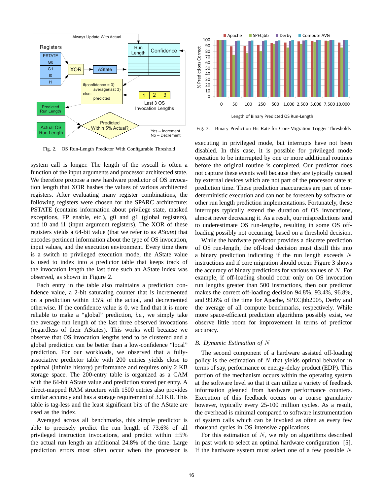

Fig. 2. OS Run-Length Predictor With Configurable Threshold

system call is longer. The length of the syscall is often a function of the input arguments and processor architected state. We therefore propose a new hardware predictor of OS invocation length that XOR hashes the values of various architected registers. After evaluating many register combinations, the following registers were chosen for the SPARC architecture: PSTATE (contains information about privilege state, masked exceptions, FP enable, etc.), g0 and g1 (global registers), and i0 and i1 (input argument registers). The XOR of these registers yields a 64-bit value (that we refer to as *AState*) that encodes pertinent information about the type of OS invocation, input values, and the execution environment. Every time there is a switch to privileged execution mode, the AState value is used to index into a predictor table that keeps track of the invocation length the last time such an AState index was observed, as shown in Figure 2.

Each entry in the table also maintains a prediction confidence value, a 2-bit saturating counter that is incremented on a prediction within  $\pm 5\%$  of the actual, and decremented otherwise. If the confidence value is 0, we find that it is more reliable to make a "global" prediction, *i.e.*, we simply take the average run length of the last three observed invocations (regardless of their AStates). This works well because we observe that OS invocation lengths tend to be clustered and a global prediction can be better than a low-confidence "local" prediction. For our workloads, we observed that a fullyassociative predictor table with 200 entries yields close to optimal (infinite history) performance and requires only 2 KB storage space. The 200-entry table is organized as a CAM with the 64-bit AState value and prediction stored per entry. A direct-mapped RAM structure with 1500 entries also provides similar accuracy and has a storage requirement of 3.3 KB. This table is tag-less and the least significant bits of the AState are used as the index.

Averaged across all benchmarks, this simple predictor is able to precisely predict the run length of 73.6% of all privileged instruction invocations, and predict within  $\pm 5\%$ the actual run length an additional 24.8% of the time. Large prediction errors most often occur when the processor is



Fig. 3. Binary Prediction Hit Rate for Core-Migration Trigger Thresholds

executing in privileged mode, but interrupts have not been disabled. In this case, it is possible for privileged mode operation to be interrupted by one or more additional routines before the original routine is completed. Our predictor does not capture these events well because they are typically caused by external devices which are not part of the processor state at prediction time. These prediction inaccuracies are part of nondeterministic execution and can not be foreseen by software or other run length prediction implementations. Fortunately, these interrupts typically extend the duration of OS invocations, almost never decreasing it. As a result, our mispredictions tend to underestimate OS run-lengths, resulting in some OS offloading possibly not occurring, based on a threshold decision.

While the hardware predictor provides a discrete prediction of OS run-length, the off-load decision must distill this into a binary prediction indicating if the run length exceeds N instructions and if core migration should occur. Figure 3 shows the accuracy of binary predictions for various values of  $N$ . For example, if off-loading should occur only on OS invocation run lengths greater than 500 instructions, then our predictor makes the correct off-loading decision 94.8%, 93.4%, 96.8%, and 99.6% of the time for Apache, SPECjbb2005, Derby and the average of all compute benchmarks, respectively. While more space-efficient prediction algorithms possibly exist, we observe little room for improvement in terms of predictor accuracy.

#### *B. Dynamic Estimation of* N

The second component of a hardware assisted off-loading policy is the estimation of  $N$  that yields optimal behavior in terms of say, performance or energy-delay product (EDP). This portion of the mechanism occurs within the operating system at the software level so that it can utilize a variety of feedback information gleaned from hardware performance counters. Execution of this feedback occurs on a coarse granularity however, typically every 25-100 million cycles. As a result, the overhead is minimal compared to software instrumentation of system calls which can be invoked as often as every few thousand cycles in OS intensive applications.

For this estimation of  $N$ , we rely on algorithms described in past work to select an optimal hardware configuration [5]. If the hardware system must select one of a few possible  $N$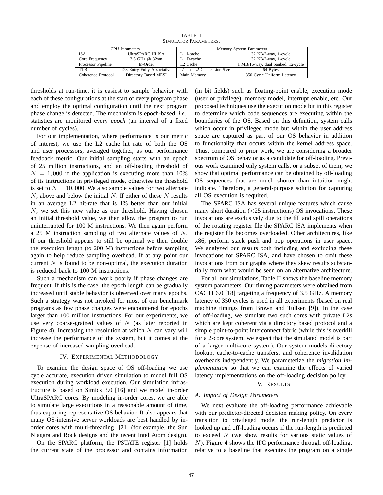| <b>TABLE II</b>       |  |  |  |  |  |  |
|-----------------------|--|--|--|--|--|--|
| SIMULATOR PARAMETERS. |  |  |  |  |  |  |

| <b>CPU</b> Parameters |                             | <b>Memory System Parameters</b> |                                    |  |
|-----------------------|-----------------------------|---------------------------------|------------------------------------|--|
| <b>ISA</b>            | UltraSPARC III ISA          | L1 I-cache                      | $32$ KB/2-way, 1-cycle             |  |
| Core Frequency        | 3.5 GHz @ 32nm              | L1 D-cache                      | $32$ KB/2-way, 1-cycle             |  |
| Processor Pipeline    | In-Order                    | L <sub>2</sub> Cache            | 1 MB/16-way, dual banked, 12-cycle |  |
| TLB                   | 128 Entry Fully Associative | L1 and L2 Cache Line Size       | 64 Bytes                           |  |
| Coherence Protocol    | Directory Based MESI        | Main Memory                     | 350 Cycle Uniform Latency          |  |

thresholds at run-time, it is easiest to sample behavior with each of these configurations at the start of every program phase and employ the optimal configuration until the next program phase change is detected. The mechanism is epoch-based, *i.e.*, statistics are monitored every *epoch* (an interval of a fixed number of cycles).

For our implementation, where performance is our metric of interest, we use the L2 cache hit rate of both the OS and user processors, averaged together, as our performance feedback metric. Our initial sampling starts with an epoch of 25 million instructions, and an off-loading threshold of  $N = 1,000$  if the application is executing more than 10% of its instructions in privileged mode, otherwise the threshold is set to  $N = 10,000$ . We also sample values for two alternate  $N$ , above and below the initial  $N$ . If either of these  $N$  results in an average L2 hit-rate that is 1% better than our initial N, we set this new value as our threshold. Having chosen an initial threshold value, we then allow the program to run uninterrupted for 100 M instructions. We then again perform a 25 M instruction sampling of two alternate values of N. If our threshold appears to still be optimal we then double the execution length (to 200 M) instructions before sampling again to help reduce sampling overhead. If at any point our current  $N$  is found to be non-optimal, the execution duration is reduced back to 100 M instructions.

Such a mechanism can work poorly if phase changes are frequent. If this is the case, the epoch length can be gradually increased until stable behavior is observed over many epochs. Such a strategy was not invoked for most of our benchmark programs as few phase changes were encountered for epochs larger than 100 million instructions. For our experiments, we use very coarse-grained values of  $N$  (as later reported in Figure 4). Increasing the resolution at which  $N$  can vary will increase the performance of the system, but it comes at the expense of increased sampling overhead.

#### IV. EXPERIMENTAL METHODOLOGY

To examine the design space of OS off-loading we use cycle accurate, execution driven simulation to model full OS execution during workload execution. Our simulation infrastructure is based on Simics 3.0 [16] and we model in-order UltraSPARC cores. By modeling in-order cores, we are able to simulate large executions in a reasonable amount of time, thus capturing representative OS behavior. It also appears that many OS-intensive server workloads are best handled by inorder cores with multi-threading [21] (for example, the Sun Niagara and Rock designs and the recent Intel Atom design).

On the SPARC platform, the PSTATE register [1] holds the current state of the processor and contains information (in bit fields) such as floating-point enable, execution mode (user or privilege), memory model, interrupt enable, etc. Our proposed techniques use the execution mode bit in this register to determine which code sequences are executing within the boundaries of the OS. Based on this definition, system calls which occur in privileged mode but within the user address space are captured as part of our OS behavior in addition to functionality that occurs within the kernel address space. Thus, compared to prior work, we are considering a broader spectrum of OS behavior as a candidate for off-loading. Previous work examined only system calls, or a subset of them; we show that optimal performance can be obtained by off-loading OS sequences that are much shorter than intuition might indicate. Therefore, a general-purpose solution for capturing all OS execution is required.

The SPARC ISA has several unique features which cause many short duration  $\left( \langle 25 \rangle \right)$  instructions) OS invocations. These invocations are exclusively due to the fill and spill operations of the rotating register file the SPARC ISA implements when the register file becomes overloaded. Other architectures, like x86, perform stack push and pop operations in user space. We analyzed our results both including and excluding these invocations for SPARC ISA, and have chosen to omit these invocations from our graphs where they skew results substantially from what would be seen on an alternative architecture.

For all our simulations, Table II shows the baseline memory system parameters. Our timing parameters were obtained from CACTI 6.0 [18] targeting a frequency of 3.5 GHz. A memory latency of 350 cycles is used in all experiments (based on real machine timings from Brown and Tullsen [9]). In the case of off-loading, we simulate two such cores with private L2s which are kept coherent via a directory based protocol and a simple point-to-point interconnect fabric (while this is overkill for a 2-core system, we expect that the simulated model is part of a larger multi-core system). Our system models directory lookup, cache-to-cache transfers, and coherence invalidation overheads independently. We parameterize the *migration implementation* so that we can examine the effects of varied latency implementations on the off-loading decision policy.

#### V. RESULTS

#### *A. Impact of Design Parameters*

We next evaluate the off-loading performance achievable with our predictor-directed decision making policy. On every transition to privileged mode, the run-length predictor is looked up and off-loading occurs if the run-length is predicted to exceed N (we show results for various static values of N). Figure 4 shows the IPC performance through off-loading, relative to a baseline that executes the program on a single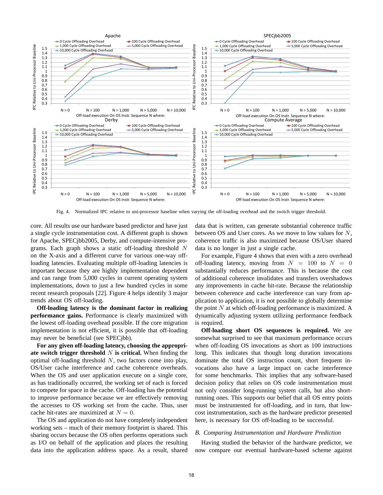

Fig. 4. Normalized IPC relative to uni-processor baseline when varying the off-loading overhead and the switch trigger threshold.

core. All results use our hardware based predictor and have just a single cycle instrumentation cost. A different graph is shown for Apache, SPECjbb2005, Derby, and compute-intensive programs. Each graph shows a static off-loading threshold N on the X-axis and a different curve for various one-way offloading latencies. Evaluating multiple off-loading latencies is important because they are highly implementation dependent and can range from 5,000 cycles in current operating system implementations, down to just a few hundred cycles in some recent research proposals [22]. Figure 4 helps identify 3 major trends about OS off-loading.

**Off-loading latency is the dominant factor in realizing performance gains.** Performance is clearly maximized with the lowest off-loading overhead possible. If the core migration implementation is not efficient, it is possible that off-loading may never be beneficial (see SPECjbb).

**For any given off-loading latency, choosing the appropri**ate switch trigger threshold  $N$  is critical. When finding the optimal off-loading threshold  $N$ , two factors come into play, OS/User cache interference and cache coherence overheads. When the OS and user application execute on a single core, as has traditionally occurred, the working set of each is forced to compete for space in the cache. Off-loading has the potential to improve performance because we are effectively removing the accesses to OS working set from the cache. Thus, user cache hit-rates are maximized at  $N = 0$ .

The OS and application do not have completely independent working sets – much of their memory footprint is shared. This sharing occurs because the OS often performs operations such as I/O on behalf of the application and places the resulting data into the application address space. As a result, shared data that is written, can generate substantial coherence traffic between OS and User cores. As we move to low values for N, coherence traffic is also maximized because OS/User shared data is no longer in just a single cache.

For example, Figure 4 shows that even with a zero overhead off-loading latency, moving from  $N = 100$  to  $N = 0$ substantially reduces performance. This is because the cost of additional coherence invalidates and transfers overshadows any improvements in cache hit-rate. Because the relationship between coherence and cache interference can vary from application to application, it is not possible to globally determine the point  $N$  at which off-loading performance is maximized. A dynamically adjusting system utilizing performance feedback is required.

**Off-loading short OS sequences is required.** We are somewhat surprised to see that maximum performance occurs when off-loading OS invocations as short as 100 instructions long. This indicates that though long duration invocations dominate the total OS instruction count, short frequent invocations also have a large impact on cache interference for some benchmarks. This implies that any software-based decision policy that relies on OS code instrumentation must not only consider long-running system calls, but also shortrunning ones. This supports our belief that all OS entry points must be instrumented for off-loading, and in turn, that lowcost instrumentation, such as the hardware predictor presented here, is necessary for OS off-loading to be successful.

#### *B. Comparing Instrumentation and Hardware Prediction*

Having studied the behavior of the hardware predictor, we now compare our eventual hardware-based scheme against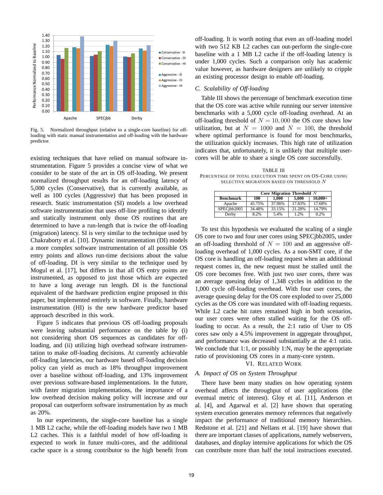

Fig. 5. Normalized throughput (relative to a single-core baseline) for offloading with static manual instrumentation and off-loading with the hardware predictor.

existing techniques that have relied on manual software instrumentation. Figure 5 provides a concise view of what we consider to be state of the art in OS off-loading. We present normalized throughput results for an off-loading latency of 5,000 cycles (Conservative), that is currently available, as well as 100 cycles (Aggressive) that has been proposed in research. Static instrumentation (SI) models a low overhead software instrumentation that uses off-line profiling to identify and statically instrument only those OS routines that are determined to have a run-length that is twice the off-loading (migration) latency. SI is very similar to the technique used by Chakraborty et al. [10]. Dynamic instrumentation (DI) models a more complex software instrumentation of all possible OS entry points and allows run-time decisions about the value of off-loading. DI is very similar to the technique used by Mogul et al. [17], but differs in that all OS entry points are instrumented, as opposed to just those which are expected to have a long average run length. DI is the functional equivalent of the hardware prediction engine proposed in this paper, but implemented entirely in software. Finally, hardware instrumentation (HI) is the new hardware predictor based approach described in this work.

Figure 5 indicates that previous OS off-loading proposals were leaving substantial performance on the table by (i) not considering short OS sequences as candidates for offloading, and (ii) utilizing high overhead software instrumentation to make off-loading decisions. At currently achievable off-loading latencies, our hardware based off-loading decision policy can yield as much as 18% throughput improvement over a baseline without off-loading, and 13% improvement over previous software-based implementations. In the future, with faster migration implementations, the importance of a low overhead decision making policy will increase and our proposal can outperform software instrumentation by as much as 20%.

In our experiments, the single-core baseline has a single 1 MB L2 cache, while the off-loading models have two 1 MB L2 caches. This is a faithful model of how off-loading is expected to work in future multi-cores, and the additional cache space is a strong contributor to the high benefit from

off-loading. It is worth noting that even an off-loading model with two 512 KB L2 caches can out-perform the single-core baseline with a 1 MB L2 cache if the off-loading latency is under 1,000 cycles. Such a comparison only has academic value however, as hardware designers are unlikely to cripple an existing processor design to enable off-loading.

#### *C. Scalability of Off-loading*

Table III shows the percentage of benchmark execution time that the OS core was active while running our server intensive benchmarks with a 5,000 cycle off-loading overhead. At an off-loading threshold of  $N = 10,000$  the OS core shows low utilization, but at  $N = 1000$  and  $N = 100$ , the threshold where optimal performance is found for most benchmarks, the utilization quickly increases. This high rate of utilization indicates that, unfortunately, it is unlikely that multiple usercores will be able to share a single OS core successfully.

TABLE III PERCENTAGE OF TOTAL EXECUTION TIME SPENT ON OS-CORE USING SELECTIVE MIGRATION BASED ON THRESHOLD N

|                  | Core Migration Threshold N |        |        |           |  |
|------------------|----------------------------|--------|--------|-----------|--|
| <b>Benchmark</b> | 100                        | 1.000  | 5.000  | $10,000+$ |  |
| Apache           | 45.75%                     | 37.96% | 17.83% | 17.68%    |  |
| SPECibb2005      | 34.48%                     | 33.15% | 21.28% | 14.79%    |  |
| Derby            | 8.2%                       | 5.4%   | 1.2%   | 0.2%      |  |

To test this hypothesis we evaluated the scaling of a single OS core to two and four user cores using SPECjbb2005, under an off-loading threshold of  $N = 100$  and an aggressive offloading overhead of 1,000 cycles. As a non-SMT core, if the OS core is handling an off-loading request when an additional request comes in, the new request must be stalled until the OS core becomes free. With just two user cores, there was an average queuing delay of 1,348 cycles in addition to the 1,000 cycle off-loading overhead. With four user cores, the average queuing delay for the OS core exploded to over 25,000 cycles as the OS core was inundated with off-loading requests. While L2 cache hit rates remained high in both scenarios, our user cores were often stalled waiting for the OS offloading to occur. As a result, the 2:1 ratio of User to OS cores saw only a 4.5% improvement in aggregate throughput, and performance was decreased substantially at the 4:1 ratio. We conclude that 1:1, or possibly 1:N, may be the appropriate ratio of provisioning OS cores in a many-core system.

#### VI. RELATED WORK

#### *A. Impact of OS on System Throughput*

There have been many studies on how operating system overhead affects the throughput of user applications (the eventual metric of interest). Gloy et al. [11], Anderson et al. [4], and Agarwal et al. [2] have shown that operating system execution generates memory references that negatively impact the performance of traditional memory hierarchies. Redstone et al. [21] and Nellans et al. [19] have shown that there are important classes of applications, namely webservers, databases, and display intensive applications for which the OS can contribute more than half the total instructions executed.